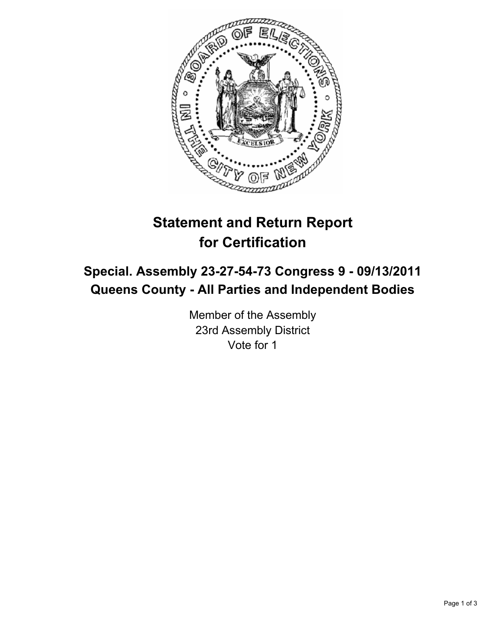

# **Statement and Return Report for Certification**

## **Special. Assembly 23-27-54-73 Congress 9 - 09/13/2011 Queens County - All Parties and Independent Bodies**

Member of the Assembly 23rd Assembly District Vote for 1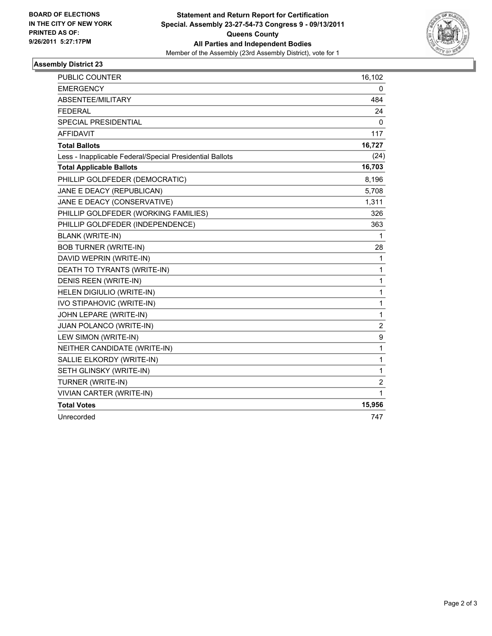

#### **Assembly District 23**

| <b>PUBLIC COUNTER</b>                                    | 16,102   |
|----------------------------------------------------------|----------|
| <b>EMERGENCY</b>                                         | 0        |
| ABSENTEE/MILITARY                                        | 484      |
| <b>FEDERAL</b>                                           | 24       |
| SPECIAL PRESIDENTIAL                                     | $\Omega$ |
| <b>AFFIDAVIT</b>                                         | 117      |
| <b>Total Ballots</b>                                     | 16,727   |
| Less - Inapplicable Federal/Special Presidential Ballots | (24)     |
| <b>Total Applicable Ballots</b>                          | 16,703   |
| PHILLIP GOLDFEDER (DEMOCRATIC)                           | 8,196    |
| JANE E DEACY (REPUBLICAN)                                | 5,708    |
| JANE E DEACY (CONSERVATIVE)                              | 1,311    |
| PHILLIP GOLDFEDER (WORKING FAMILIES)                     | 326      |
| PHILLIP GOLDFEDER (INDEPENDENCE)                         | 363      |
| <b>BLANK (WRITE-IN)</b>                                  | 1        |
| <b>BOB TURNER (WRITE-IN)</b>                             | 28       |
| DAVID WEPRIN (WRITE-IN)                                  | 1        |
| DEATH TO TYRANTS (WRITE-IN)                              | 1        |
| DENIS REEN (WRITE-IN)                                    | 1        |
| HELEN DIGIULIO (WRITE-IN)                                | 1        |
| <b>IVO STIPAHOVIC (WRITE-IN)</b>                         | 1        |
| JOHN LEPARE (WRITE-IN)                                   | 1        |
| JUAN POLANCO (WRITE-IN)                                  | 2        |
| LEW SIMON (WRITE-IN)                                     | 9        |
| NEITHER CANDIDATE (WRITE-IN)                             | 1        |
| SALLIE ELKORDY (WRITE-IN)                                | 1        |
| SETH GLINSKY (WRITE-IN)                                  | 1        |
| TURNER (WRITE-IN)                                        | 2        |
| <b>VIVIAN CARTER (WRITE-IN)</b>                          | 1        |
| <b>Total Votes</b>                                       | 15,956   |
| Unrecorded                                               | 747      |